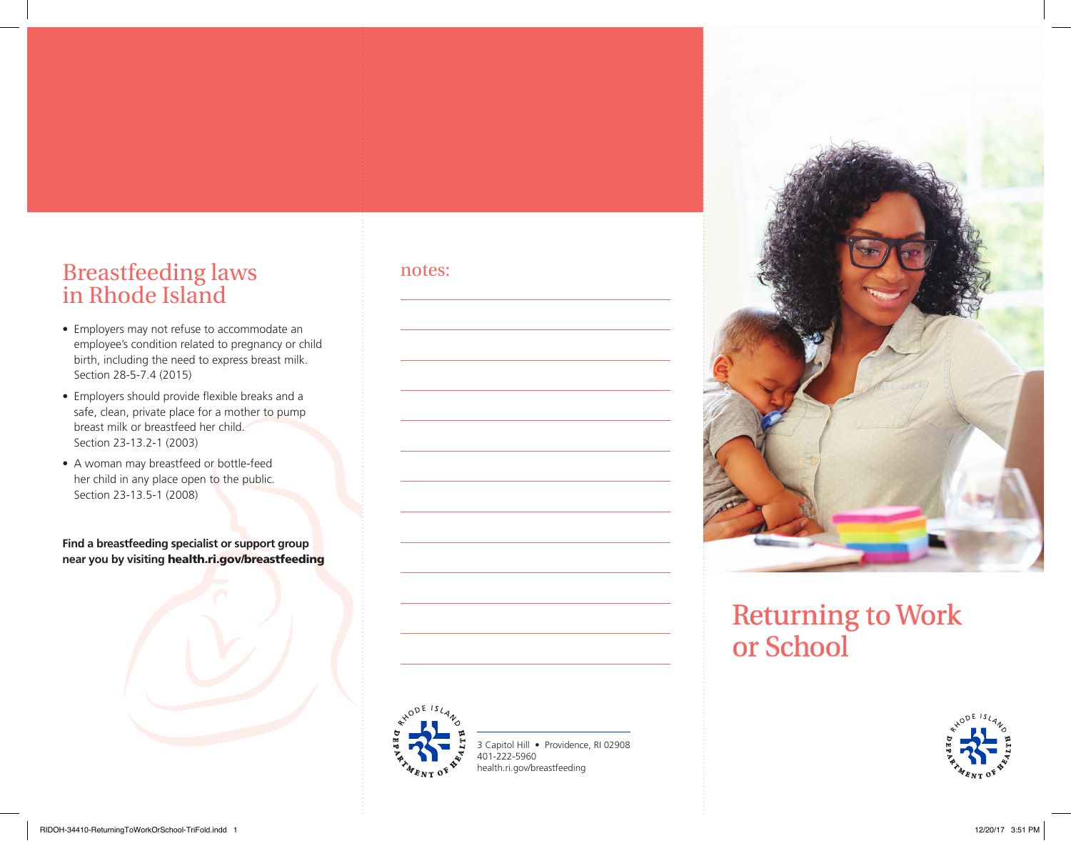#### Breastfeeding laws in Rhode Island

- Employers may not refuse to accommodate an employee's condition related to pregnancy or child birth, including the need to express breast milk. Section 28-5-7.4 (2015)
- Employers should provide flexible breaks and a safe, clean, private place for a mother to pump breast milk or breastfeed her child. Section 23-13.2-1 (2003)
- A woman may breastfeed or bottle-feed her child in any place open to the public. Section 23-13.5-1 (2008)

**Find a breastfeeding specialist or support group near you by visiting** health.ri.gov/breastfeeding



notes:



# Returning to Work or School